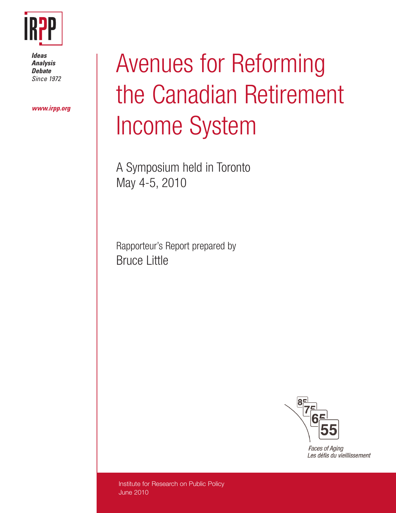

*Ideas Analysis Debate Since 1972*

*www.irpp.org*

# Avenues for Reforming the Canadian Retirement Income System

A Symposium held in Toronto May 4-5, 2010

Rapporteur's Report prepared by Bruce Little



**Faces of Aging** Les défis du vieillissement

Institute for Research on Public Policy June 2010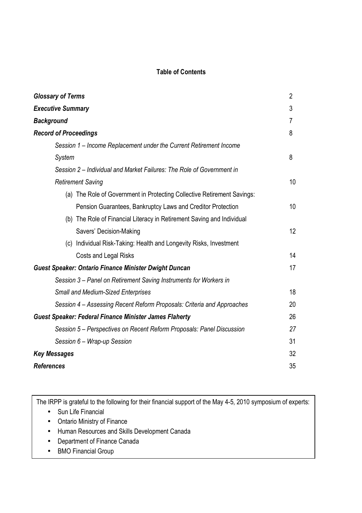# **Table of Contents**

| <b>Glossary of Terms</b>                                                | 2               |
|-------------------------------------------------------------------------|-----------------|
| <b>Executive Summary</b>                                                | 3               |
| <b>Background</b>                                                       | 7               |
| <b>Record of Proceedings</b>                                            | 8               |
| Session 1 - Income Replacement under the Current Retirement Income      |                 |
| System                                                                  | 8               |
| Session 2 – Individual and Market Failures: The Role of Government in   |                 |
| <b>Retirement Saving</b>                                                | 10              |
| (a) The Role of Government in Protecting Collective Retirement Savings: |                 |
| Pension Guarantees, Bankruptcy Laws and Creditor Protection             | 10 <sup>°</sup> |
| (b) The Role of Financial Literacy in Retirement Saving and Individual  |                 |
| Savers' Decision-Making                                                 | 12              |
| (c) Individual Risk-Taking: Health and Longevity Risks, Investment      |                 |
| Costs and Legal Risks                                                   | 14              |
| <b>Guest Speaker: Ontario Finance Minister Dwight Duncan</b>            | 17              |
| Session 3 – Panel on Retirement Saving Instruments for Workers in       |                 |
| <b>Small and Medium-Sized Enterprises</b>                               | 18              |
| Session 4 – Assessing Recent Reform Proposals: Criteria and Approaches  | 20              |
| <b>Guest Speaker: Federal Finance Minister James Flaherty</b>           | 26              |
| Session 5 – Perspectives on Recent Reform Proposals: Panel Discussion   | 27              |
| Session 6 - Wrap-up Session                                             | 31              |
| <b>Key Messages</b>                                                     | 32              |
| <b>References</b>                                                       | 35              |

The IRPP is grateful to the following for their financial support of the May 4-5, 2010 symposium of experts:

- Sun Life Financial
- Ontario Ministry of Finance
- Human Resources and Skills Development Canada
- Department of Finance Canada
- BMO Financial Group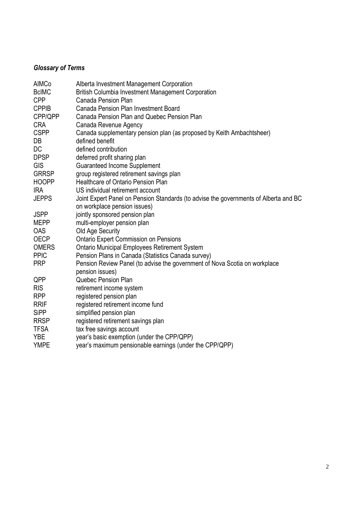# *Glossary of Terms*

| AIMCo        | Alberta Investment Management Corporation                                            |
|--------------|--------------------------------------------------------------------------------------|
| <b>BcIMC</b> | <b>British Columbia Investment Management Corporation</b>                            |
| <b>CPP</b>   | Canada Pension Plan                                                                  |
| <b>CPPIB</b> | Canada Pension Plan Investment Board                                                 |
| CPP/QPP      | Canada Pension Plan and Quebec Pension Plan                                          |
| <b>CRA</b>   | Canada Revenue Agency                                                                |
| <b>CSPP</b>  | Canada supplementary pension plan (as proposed by Keith Ambachtsheer)                |
| DB           | defined benefit                                                                      |
| DC           | defined contribution                                                                 |
| <b>DPSP</b>  | deferred profit sharing plan                                                         |
| <b>GIS</b>   | <b>Guaranteed Income Supplement</b>                                                  |
| <b>GRRSP</b> | group registered retirement savings plan                                             |
| <b>HOOPP</b> | <b>Healthcare of Ontario Pension Plan</b>                                            |
| <b>IRA</b>   | US individual retirement account                                                     |
| <b>JEPPS</b> | Joint Expert Panel on Pension Standards (to advise the governments of Alberta and BC |
|              | on workplace pension issues)                                                         |
| <b>JSPP</b>  | jointly sponsored pension plan                                                       |
| <b>MEPP</b>  | multi-employer pension plan                                                          |
| <b>OAS</b>   | Old Age Security                                                                     |
| <b>OECP</b>  | <b>Ontario Expert Commission on Pensions</b>                                         |
| <b>OMERS</b> | <b>Ontario Municipal Employees Retirement System</b>                                 |
| <b>PPIC</b>  | Pension Plans in Canada (Statistics Canada survey)                                   |
| <b>PRP</b>   | Pension Review Panel (to advise the government of Nova Scotia on workplace           |
|              | pension issues)                                                                      |
| QPP          | Quebec Pension Plan                                                                  |
| <b>RIS</b>   | retirement income system                                                             |
| <b>RPP</b>   | registered pension plan                                                              |
| <b>RRIF</b>  | registered retirement income fund                                                    |
| <b>SiPP</b>  | simplified pension plan                                                              |
| <b>RRSP</b>  | registered retirement savings plan                                                   |
| <b>TFSA</b>  | tax free savings account                                                             |
| <b>YBE</b>   | year's basic exemption (under the CPP/QPP)                                           |
| <b>YMPE</b>  | year's maximum pensionable earnings (under the CPP/QPP)                              |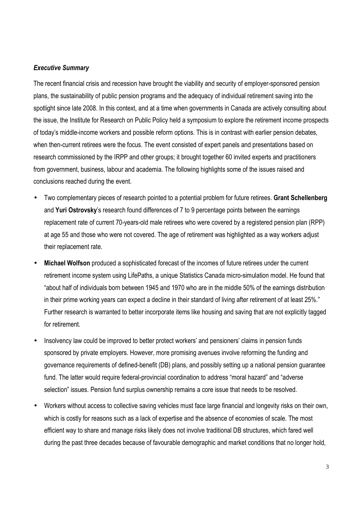# *Executive Summary*

The recent financial crisis and recession have brought the viability and security of employer-sponsored pension plans, the sustainability of public pension programs and the adequacy of individual retirement saving into the spotlight since late 2008. In this context, and at a time when governments in Canada are actively consulting about the issue, the Institute for Research on Public Policy held a symposium to explore the retirement income prospects of today's middle-income workers and possible reform options. This is in contrast with earlier pension debates, when then-current retirees were the focus. The event consisted of expert panels and presentations based on research commissioned by the IRPP and other groups; it brought together 60 invited experts and practitioners from government, business, labour and academia. The following highlights some of the issues raised and conclusions reached during the event.

- Two complementary pieces of research pointed to a potential problem for future retirees. **Grant Schellenberg** and **Yuri Ostrovsky**'s research found differences of 7 to 9 percentage points between the earnings replacement rate of current 70-years-old male retirees who were covered by a registered pension plan (RPP) at age 55 and those who were not covered. The age of retirement was highlighted as a way workers adjust their replacement rate.
- **Michael Wolfson** produced a sophisticated forecast of the incomes of future retirees under the current retirement income system using LifePaths, a unique Statistics Canada micro-simulation model. He found that "about half of individuals born between 1945 and 1970 who are in the middle 50% of the earnings distribution in their prime working years can expect a decline in their standard of living after retirement of at least 25%." Further research is warranted to better incorporate items like housing and saving that are not explicitly tagged for retirement.
- Insolvency law could be improved to better protect workers' and pensioners' claims in pension funds sponsored by private employers. However, more promising avenues involve reforming the funding and governance requirements of defined-benefit (DB) plans, and possibly setting up a national pension guarantee fund. The latter would require federal-provincial coordination to address "moral hazard" and "adverse selection" issues. Pension fund surplus ownership remains a core issue that needs to be resolved.
- Workers without access to collective saving vehicles must face large financial and longevity risks on their own, which is costly for reasons such as a lack of expertise and the absence of economies of scale. The most efficient way to share and manage risks likely does not involve traditional DB structures, which fared well during the past three decades because of favourable demographic and market conditions that no longer hold,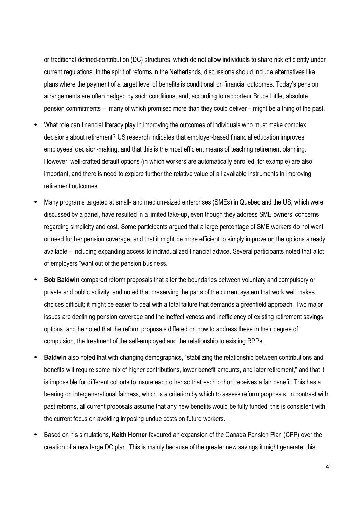or traditional defined-contribution (DC) structures, which do not allow individuals to share risk efficiently under current regulations. In the spirit of reforms in the Netherlands, discussions should include alternatives like plans where the payment of a target level of benefits is conditional on financial outcomes. Today's pension arrangements are often hedged by such conditions, and, according to rapporteur Bruce Little, absolute pension commitments – many of which promised more than they could deliver – might be a thing of the past.

- What role can financial literacy play in improving the outcomes of individuals who must make complex decisions about retirement? US research indicates that employer-based financial education improves employees' decision-making, and that this is the most efficient means of teaching retirement planning. However, well-crafted default options (in which workers are automatically enrolled, for example) are also important, and there is need to explore further the relative value of all available instruments in improving retirement outcomes.
- Many programs targeted at small- and medium-sized enterprises (SMEs) in Quebec and the US, which were discussed by a panel, have resulted in a limited take-up, even though they address SME owners' concerns regarding simplicity and cost. Some participants argued that a large percentage of SME workers do not want or need further pension coverage, and that it might be more efficient to simply improve on the options already available – including expanding access to individualized financial advice. Several participants noted that a lot of employers "want out of the pension business."
- **Bob Baldwin** compared reform proposals that alter the boundaries between voluntary and compulsory or private and public activity, and noted that preserving the parts of the current system that work well makes choices difficult; it might be easier to deal with a total failure that demands a greenfield approach. Two major issues are declining pension coverage and the ineffectiveness and inefficiency of existing retirement savings options, and he noted that the reform proposals differed on how to address these in their degree of compulsion, the treatment of the self-employed and the relationship to existing RPPs.
- **Baldwin** also noted that with changing demographics, "stabilizing the relationship between contributions and benefits will require some mix of higher contributions, lower benefit amounts, and later retirement," and that it is impossible for different cohorts to insure each other so that each cohort receives a fair benefit. This has a bearing on intergenerational fairness, which is a criterion by which to assess reform proposals. In contrast with past reforms, all current proposals assume that any new benefits would be fully funded; this is consistent with the current focus on avoiding imposing undue costs on future workers.
- Based on his simulations, **Keith Horner** favoured an expansion of the Canada Pension Plan (CPP) over the creation of a new large DC plan. This is mainly because of the greater new savings it might generate; this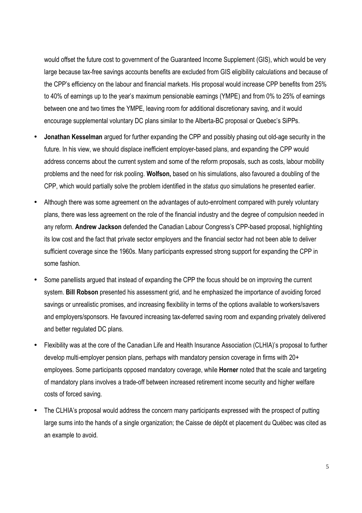would offset the future cost to government of the Guaranteed Income Supplement (GIS), which would be very large because tax-free savings accounts benefits are excluded from GIS eligibility calculations and because of the CPP's efficiency on the labour and financial markets. His proposal would increase CPP benefits from 25% to 40% of earnings up to the year's maximum pensionable earnings (YMPE) and from 0% to 25% of earnings between one and two times the YMPE, leaving room for additional discretionary saving, and it would encourage supplemental voluntary DC plans similar to the Alberta-BC proposal or Quebec's SiPPs.

- **Jonathan Kesselman** argued for further expanding the CPP and possibly phasing out old-age security in the future. In his view, we should displace inefficient employer-based plans, and expanding the CPP would address concerns about the current system and some of the reform proposals, such as costs, labour mobility problems and the need for risk pooling. **Wolfson,** based on his simulations, also favoured a doubling of the CPP, which would partially solve the problem identified in the *status quo* simulations he presented earlier.
- Although there was some agreement on the advantages of auto-enrolment compared with purely voluntary plans, there was less agreement on the role of the financial industry and the degree of compulsion needed in any reform. **Andrew Jackson** defended the Canadian Labour Congress's CPP-based proposal, highlighting its low cost and the fact that private sector employers and the financial sector had not been able to deliver sufficient coverage since the 1960s. Many participants expressed strong support for expanding the CPP in some fashion.
- Some panellists argued that instead of expanding the CPP the focus should be on improving the current system. **Bill Robson** presented his assessment grid, and he emphasized the importance of avoiding forced savings or unrealistic promises, and increasing flexibility in terms of the options available to workers/savers and employers/sponsors. He favoured increasing tax-deferred saving room and expanding privately delivered and better regulated DC plans.
- Flexibility was at the core of the Canadian Life and Health Insurance Association (CLHIA)'s proposal to further develop multi-employer pension plans, perhaps with mandatory pension coverage in firms with 20+ employees. Some participants opposed mandatory coverage, while **Horner** noted that the scale and targeting of mandatory plans involves a trade-off between increased retirement income security and higher welfare costs of forced saving.
- The CLHIA's proposal would address the concern many participants expressed with the prospect of putting large sums into the hands of a single organization; the Caisse de dépôt et placement du Québec was cited as an example to avoid.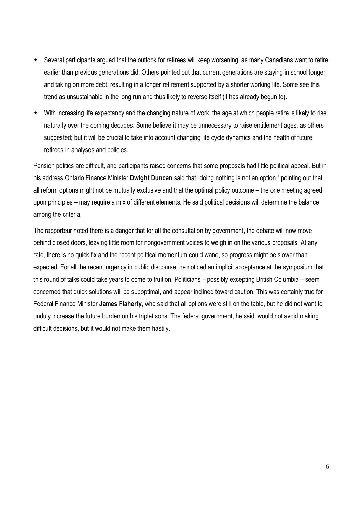- Several participants argued that the outlook for retirees will keep worsening, as many Canadians want to retire earlier than previous generations did. Others pointed out that current generations are staying in school longer and taking on more debt, resulting in a longer retirement supported by a shorter working life. Some see this trend as unsustainable in the long run and thus likely to reverse itself (it has already begun to).
- With increasing life expectancy and the changing nature of work, the age at which people retire is likely to rise naturally over the coming decades. Some believe it may be unnecessary to raise entitlement ages, as others suggested; but it will be crucial to take into account changing life cycle dynamics and the health of future retirees in analyses and policies.

Pension politics are difficult, and participants raised concerns that some proposals had little political appeal. But in his address Ontario Finance Minister **Dwight Duncan** said that "doing nothing is not an option," pointing out that all reform options might not be mutually exclusive and that the optimal policy outcome – the one meeting agreed upon principles – may require a mix of different elements. He said political decisions will determine the balance among the criteria.

The rapporteur noted there is a danger that for all the consultation by government, the debate will now move behind closed doors, leaving little room for nongovernment voices to weigh in on the various proposals. At any rate, there is no quick fix and the recent political momentum could wane, so progress might be slower than expected. For all the recent urgency in public discourse, he noticed an implicit acceptance at the symposium that this round of talks could take years to come to fruition. Politicians – possibly excepting British Columbia – seem concerned that quick solutions will be suboptimal, and appear inclined toward caution. This was certainly true for Federal Finance Minister **James Flaherty**, who said that all options were still on the table, but he did not want to unduly increase the future burden on his triplet sons. The federal government, he said, would not avoid making difficult decisions, but it would not make them hastily.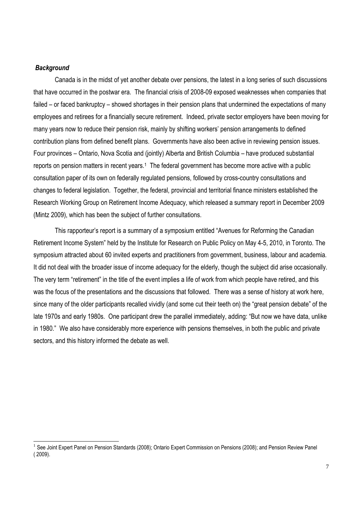## *Background*

1

Canada is in the midst of yet another debate over pensions, the latest in a long series of such discussions that have occurred in the postwar era. The financial crisis of 2008-09 exposed weaknesses when companies that failed – or faced bankruptcy – showed shortages in their pension plans that undermined the expectations of many employees and retirees for a financially secure retirement. Indeed, private sector employers have been moving for many years now to reduce their pension risk, mainly by shifting workers' pension arrangements to defined contribution plans from defined benefit plans. Governments have also been active in reviewing pension issues. Four provinces – Ontario, Nova Scotia and (jointly) Alberta and British Columbia – have produced substantial reports on pension matters in recent years.<sup>1</sup> The federal government has become more active with a public consultation paper of its own on federally regulated pensions, followed by cross-country consultations and changes to federal legislation. Together, the federal, provincial and territorial finance ministers established the Research Working Group on Retirement Income Adequacy, which released a summary report in December 2009 (Mintz 2009), which has been the subject of further consultations.

This rapporteur's report is a summary of a symposium entitled "Avenues for Reforming the Canadian Retirement Income System" held by the Institute for Research on Public Policy on May 4-5, 2010, in Toronto. The symposium attracted about 60 invited experts and practitioners from government, business, labour and academia. It did not deal with the broader issue of income adequacy for the elderly, though the subject did arise occasionally. The very term "retirement" in the title of the event implies a life of work from which people have retired, and this was the focus of the presentations and the discussions that followed. There was a sense of history at work here, since many of the older participants recalled vividly (and some cut their teeth on) the "great pension debate" of the late 1970s and early 1980s. One participant drew the parallel immediately, adding: "But now we have data, unlike in 1980." We also have considerably more experience with pensions themselves, in both the public and private sectors, and this history informed the debate as well.

<sup>&</sup>lt;sup>1</sup> See Joint Expert Panel on Pension Standards (2008); Ontario Expert Commission on Pensions (2008); and Pension Review Panel ( 2009).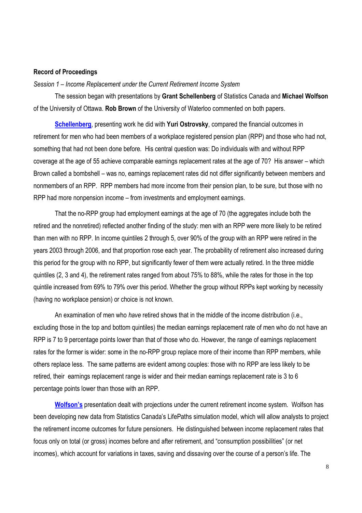### **Record of Proceedings**

*Session 1 – Income Replacement under the Current Retirement Income System* 

The session began with presentations by **Grant Schellenberg** of Statistics Canada and **Michael Wolfson** of the University of Ottawa. **Rob Brown** of the University of Waterloo commented on both papers.

**Schellenberg**, presenting work he did with **Yuri Ostrovsky**, compared the financial outcomes in retirement for men who had been members of a workplace registered pension plan (RPP) and those who had not, something that had not been done before. His central question was: Do individuals with and without RPP coverage at the age of 55 achieve comparable earnings replacement rates at the age of 70? His answer – which Brown called a bombshell – was no, earnings replacement rates did not differ significantly between members and nonmembers of an RPP. RPP members had more income from their pension plan, to be sure, but those with no RPP had more nonpension income – from investments and employment earnings.

That the no-RPP group had employment earnings at the age of 70 (the aggregates include both the retired and the nonretired) reflected another finding of the study: men with an RPP were more likely to be retired than men with no RPP. In income quintiles 2 through 5, over 90% of the group with an RPP were retired in the years 2003 through 2006, and that proportion rose each year. The probability of retirement also increased during this period for the group with no RPP, but significantly fewer of them were actually retired. In the three middle quintiles (2, 3 and 4), the retirement rates ranged from about 75% to 88%, while the rates for those in the top quintile increased from 69% to 79% over this period. Whether the group without RPPs kept working by necessity (having no workplace pension) or choice is not known.

An examination of men who *have* retired shows that in the middle of the income distribution (i.e., excluding those in the top and bottom quintiles) the median earnings replacement rate of men who do not have an RPP is 7 to 9 percentage points lower than that of those who do. However, the range of earnings replacement rates for the former is wider: some in the no-RPP group replace more of their income than RPP members, while others replace less. The same patterns are evident among couples: those with no RPP are less likely to be retired, their earnings replacement range is wider and their median earnings replacement rate is 3 to 6 percentage points lower than those with an RPP.

**Wolfson's** presentation dealt with projections under the current retirement income system. Wolfson has been developing new data from Statistics Canada's LifePaths simulation model, which will allow analysts to project the retirement income outcomes for future pensioners. He distinguished between income replacement rates that focus only on total (or gross) incomes before and after retirement, and "consumption possibilities" (or net incomes), which account for variations in taxes, saving and dissaving over the course of a person's life. The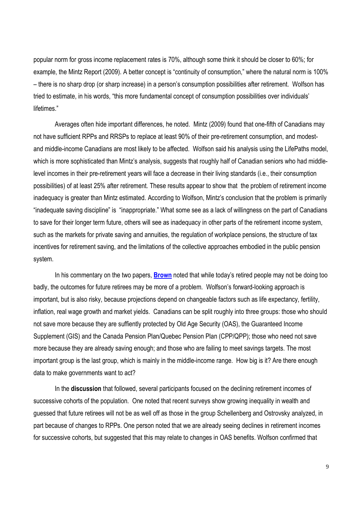popular norm for gross income replacement rates is 70%, although some think it should be closer to 60%; for example, the Mintz Report (2009). A better concept is "continuity of consumption," where the natural norm is 100% – there is no sharp drop (or sharp increase) in a person's consumption possibilities after retirement. Wolfson has tried to estimate, in his words, "this more fundamental concept of consumption possibilities over individuals' lifetimes."

Averages often hide important differences, he noted. Mintz (2009) found that one-fifth of Canadians may not have sufficient RPPs and RRSPs to replace at least 90% of their pre-retirement consumption, and modestand middle-income Canadians are most likely to be affected. Wolfson said his analysis using the LifePaths model, which is more sophisticated than Mintz's analysis, suggests that roughly half of Canadian seniors who had middlelevel incomes in their pre-retirement years will face a decrease in their living standards (i.e., their consumption possibilities) of at least 25% after retirement. These results appear to show that the problem of retirement income inadequacy is greater than Mintz estimated. According to Wolfson, Mintz's conclusion that the problem is primarily "inadequate saving discipline" is "inappropriate." What some see as a lack of willingness on the part of Canadians to save for their longer term future, others will see as inadequacy in other parts of the retirement income system, such as the markets for private saving and annuities, the regulation of workplace pensions, the structure of tax incentives for retirement saving, and the limitations of the collective approaches embodied in the public pension system.

In his commentary on the two papers, **Brown** noted that while today's retired people may not be doing too badly, the outcomes for future retirees may be more of a problem. Wolfson's forward-looking approach is important, but is also risky, because projections depend on changeable factors such as life expectancy, fertility, inflation, real wage growth and market yields. Canadians can be split roughly into three groups: those who should not save more because they are suffiently protected by Old Age Security (OAS), the Guaranteed Income Supplement (GIS) and the Canada Pension Plan/Quebec Pension Plan (CPP/QPP); those who need not save more because they are already saving enough; and those who are failing to meet savings targets. The most important group is the last group, which is mainly in the middle-income range. How big is it? Are there enough data to make governments want to act?

In the **discussion** that followed, several participants focused on the declining retirement incomes of successive cohorts of the population. One noted that recent surveys show growing inequality in wealth and guessed that future retirees will not be as well off as those in the group Schellenberg and Ostrovsky analyzed, in part because of changes to RPPs. One person noted that we are already seeing declines in retirement incomes for successive cohorts, but suggested that this may relate to changes in OAS benefits. Wolfson confirmed that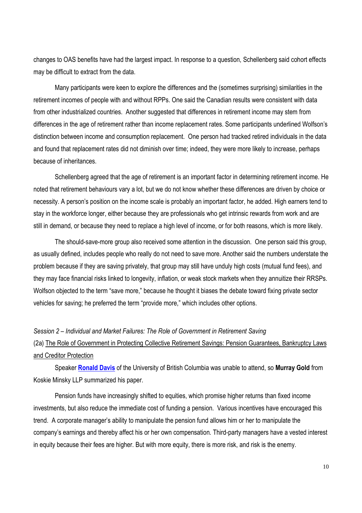changes to OAS benefits have had the largest impact. In response to a question, Schellenberg said cohort effects may be difficult to extract from the data.

Many participants were keen to explore the differences and the (sometimes surprising) similarities in the retirement incomes of people with and without RPPs. One said the Canadian results were consistent with data from other industrialized countries. Another suggested that differences in retirement income may stem from differences in the age of retirement rather than income replacement rates. Some participants underlined Wolfson's distinction between income and consumption replacement. One person had tracked retired individuals in the data and found that replacement rates did not diminish over time; indeed, they were more likely to increase, perhaps because of inheritances.

Schellenberg agreed that the age of retirement is an important factor in determining retirement income. He noted that retirement behaviours vary a lot, but we do not know whether these differences are driven by choice or necessity. A person's position on the income scale is probably an important factor, he added. High earners tend to stay in the workforce longer, either because they are professionals who get intrinsic rewards from work and are still in demand, or because they need to replace a high level of income, or for both reasons, which is more likely.

The should-save-more group also received some attention in the discussion. One person said this group, as usually defined, includes people who really do not need to save more. Another said the numbers understate the problem because if they are saving privately, that group may still have unduly high costs (mutual fund fees), and they may face financial risks linked to longevity, inflation, or weak stock markets when they annuitize their RRSPs. Wolfson objected to the term "save more," because he thought it biases the debate toward fixing private sector vehicles for saving; he preferred the term "provide more," which includes other options.

### *Session 2 – Individual and Market Failures: The Role of Government in Retirement Saving*

# (2a) The Role of Government in Protecting Collective Retirement Savings: Pension Guarantees, Bankruptcy Laws and Creditor Protection

Speaker **Ronald Davis** of the University of British Columbia was unable to attend, so **Murray Gold** from Koskie Minsky LLP summarized his paper.

Pension funds have increasingly shifted to equities, which promise higher returns than fixed income investments, but also reduce the immediate cost of funding a pension. Various incentives have encouraged this trend. A corporate manager's ability to manipulate the pension fund allows him or her to manipulate the company's earnings and thereby affect his or her own compensation. Third-party managers have a vested interest in equity because their fees are higher. But with more equity, there is more risk, and risk is the enemy.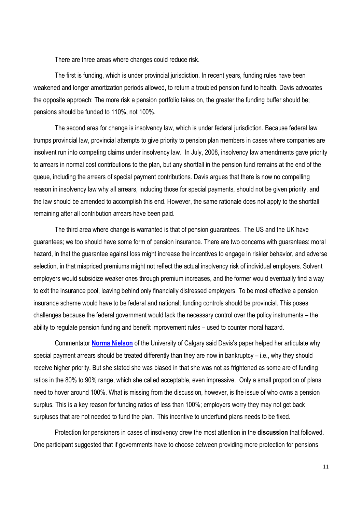There are three areas where changes could reduce risk.

The first is funding, which is under provincial jurisdiction. In recent years, funding rules have been weakened and longer amortization periods allowed, to return a troubled pension fund to health. Davis advocates the opposite approach: The more risk a pension portfolio takes on, the greater the funding buffer should be; pensions should be funded to 110%, not 100%.

The second area for change is insolvency law, which is under federal jurisdiction. Because federal law trumps provincial law, provincial attempts to give priority to pension plan members in cases where companies are insolvent run into competing claims under insolvency law. In July, 2008, insolvency law amendments gave priority to arrears in normal cost contributions to the plan, but any shortfall in the pension fund remains at the end of the queue, including the arrears of special payment contributions. Davis argues that there is now no compelling reason in insolvency law why all arrears, including those for special payments, should not be given priority, and the law should be amended to accomplish this end. However, the same rationale does not apply to the shortfall remaining after all contribution arrears have been paid.

The third area where change is warranted is that of pension guarantees. The US and the UK have guarantees; we too should have some form of pension insurance. There are two concerns with guarantees: moral hazard, in that the guarantee against loss might increase the incentives to engage in riskier behavior, and adverse selection, in that mispriced premiums might not reflect the actual insolvency risk of individual employers. Solvent employers would subsidize weaker ones through premium increases, and the former would eventually find a way to exit the insurance pool, leaving behind only financially distressed employers. To be most effective a pension insurance scheme would have to be federal and national; funding controls should be provincial. This poses challenges because the federal government would lack the necessary control over the policy instruments – the ability to regulate pension funding and benefit improvement rules – used to counter moral hazard.

Commentator **Norma Nielson** of the University of Calgary said Davis's paper helped her articulate why special payment arrears should be treated differently than they are now in bankruptcy – i.e., why they should receive higher priority. But she stated she was biased in that she was not as frightened as some are of funding ratios in the 80% to 90% range, which she called acceptable, even impressive. Only a small proportion of plans need to hover around 100%. What is missing from the discussion, however, is the issue of who owns a pension surplus. This is a key reason for funding ratios of less than 100%; employers worry they may not get back surpluses that are not needed to fund the plan. This incentive to underfund plans needs to be fixed.

Protection for pensioners in cases of insolvency drew the most attention in the **discussion** that followed. One participant suggested that if governments have to choose between providing more protection for pensions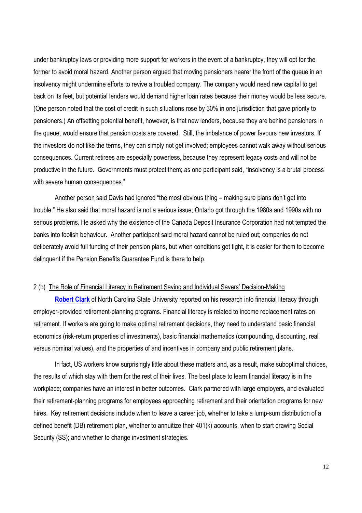under bankruptcy laws or providing more support for workers in the event of a bankruptcy, they will opt for the former to avoid moral hazard. Another person argued that moving pensioners nearer the front of the queue in an insolvency might undermine efforts to revive a troubled company. The company would need new capital to get back on its feet, but potential lenders would demand higher loan rates because their money would be less secure. (One person noted that the cost of credit in such situations rose by 30% in one jurisdiction that gave priority to pensioners.) An offsetting potential benefit, however, is that new lenders, because they are behind pensioners in the queue, would ensure that pension costs are covered. Still, the imbalance of power favours new investors. If the investors do not like the terms, they can simply not get involved; employees cannot walk away without serious consequences. Current retirees are especially powerless, because they represent legacy costs and will not be productive in the future. Governments must protect them; as one participant said, "insolvency is a brutal process with severe human consequences."

Another person said Davis had ignored "the most obvious thing – making sure plans don't get into trouble." He also said that moral hazard is not a serious issue; Ontario got through the 1980s and 1990s with no serious problems. He asked why the existence of the Canada Deposit Insurance Corporation had not tempted the banks into foolish behaviour. Another participant said moral hazard cannot be ruled out; companies do not deliberately avoid full funding of their pension plans, but when conditions get tight, it is easier for them to become delinquent if the Pension Benefits Guarantee Fund is there to help.

#### 2 (b) The Role of Financial Literacy in Retirement Saving and Individual Savers' Decision-Making

**Robert Clark** of North Carolina State University reported on his research into financial literacy through employer-provided retirement-planning programs. Financial literacy is related to income replacement rates on retirement. If workers are going to make optimal retirement decisions, they need to understand basic financial economics (risk-return properties of investments), basic financial mathematics (compounding, discounting, real versus nominal values), and the properties of and incentives in company and public retirement plans.

In fact, US workers know surprisingly little about these matters and, as a result, make suboptimal choices, the results of which stay with them for the rest of their lives. The best place to learn financial literacy is in the workplace; companies have an interest in better outcomes. Clark partnered with large employers, and evaluated their retirement-planning programs for employees approaching retirement and their orientation programs for new hires. Key retirement decisions include when to leave a career job, whether to take a lump-sum distribution of a defined benefit (DB) retirement plan, whether to annuitize their 401(k) accounts, when to start drawing Social Security (SS); and whether to change investment strategies.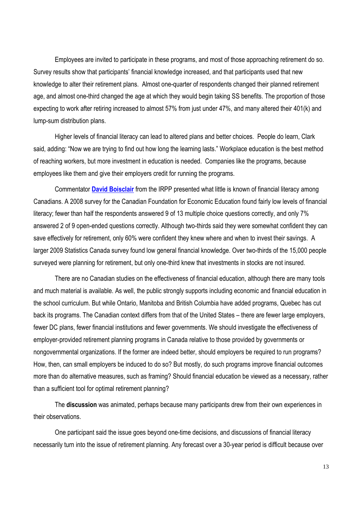Employees are invited to participate in these programs, and most of those approaching retirement do so. Survey results show that participants' financial knowledge increased, and that participants used that new knowledge to alter their retirement plans. Almost one-quarter of respondents changed their planned retirement age, and almost one-third changed the age at which they would begin taking SS benefits. The proportion of those expecting to work after retiring increased to almost 57% from just under 47%, and many altered their 401(k) and lump-sum distribution plans.

Higher levels of financial literacy can lead to altered plans and better choices. People do learn, Clark said, adding: "Now we are trying to find out how long the learning lasts." Workplace education is the best method of reaching workers, but more investment in education is needed. Companies like the programs, because employees like them and give their employers credit for running the programs.

Commentator **David Boisclair** from the IRPP presented what little is known of financial literacy among Canadians. A 2008 survey for the Canadian Foundation for Economic Education found fairly low levels of financial literacy; fewer than half the respondents answered 9 of 13 multiple choice questions correctly, and only 7% answered 2 of 9 open-ended questions correctly. Although two-thirds said they were somewhat confident they can save effectively for retirement, only 60% were confident they knew where and when to invest their savings. A larger 2009 Statistics Canada survey found low general financial knowledge. Over two-thirds of the 15,000 people surveyed were planning for retirement, but only one-third knew that investments in stocks are not insured.

There are no Canadian studies on the effectiveness of financial education, although there are many tools and much material is available. As well, the public strongly supports including economic and financial education in the school curriculum. But while Ontario, Manitoba and British Columbia have added programs, Quebec has cut back its programs. The Canadian context differs from that of the United States – there are fewer large employers, fewer DC plans, fewer financial institutions and fewer governments. We should investigate the effectiveness of employer-provided retirement planning programs in Canada relative to those provided by governments or nongovernmental organizations. If the former are indeed better, should employers be required to run programs? How, then, can small employers be induced to do so? But mostly, do such programs improve financial outcomes more than do alternative measures, such as framing? Should financial education be viewed as a necessary, rather than a sufficient tool for optimal retirement planning?

The **discussion** was animated, perhaps because many participants drew from their own experiences in their observations.

One participant said the issue goes beyond one-time decisions, and discussions of financial literacy necessarily turn into the issue of retirement planning. Any forecast over a 30-year period is difficult because over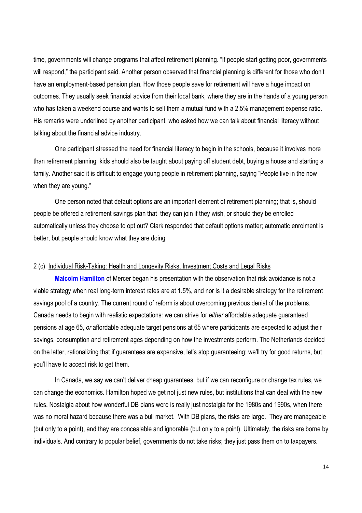time, governments will change programs that affect retirement planning. "If people start getting poor, governments will respond," the participant said. Another person observed that financial planning is different for those who don't have an employment-based pension plan. How those people save for retirement will have a huge impact on outcomes. They usually seek financial advice from their local bank, where they are in the hands of a young person who has taken a weekend course and wants to sell them a mutual fund with a 2.5% management expense ratio. His remarks were underlined by another participant, who asked how we can talk about financial literacy without talking about the financial advice industry.

One participant stressed the need for financial literacy to begin in the schools, because it involves more than retirement planning; kids should also be taught about paying off student debt, buying a house and starting a family. Another said it is difficult to engage young people in retirement planning, saying "People live in the now when they are young."

One person noted that default options are an important element of retirement planning; that is, should people be offered a retirement savings plan that they can join if they wish, or should they be enrolled automatically unless they choose to opt out? Clark responded that default options matter; automatic enrolment is better, but people should know what they are doing.

# 2 (c) Individual Risk-Taking: Health and Longevity Risks, Investment Costs and Legal Risks

**Malcolm Hamilton** of Mercer began his presentation with the observation that risk avoidance is not a viable strategy when real long-term interest rates are at 1.5%, and nor is it a desirable strategy for the retirement savings pool of a country. The current round of reform is about overcoming previous denial of the problems. Canada needs to begin with realistic expectations: we can strive for *either* affordable adequate guaranteed pensions at age 65, *or* affordable adequate target pensions at 65 where participants are expected to adjust their savings, consumption and retirement ages depending on how the investments perform. The Netherlands decided on the latter, rationalizing that if guarantees are expensive, let's stop guaranteeing; we'll try for good returns, but you'll have to accept risk to get them.

In Canada, we say we can't deliver cheap guarantees, but if we can reconfigure or change tax rules, we can change the economics. Hamilton hoped we get not just new rules, but institutions that can deal with the new rules. Nostalgia about how wonderful DB plans were is really just nostalgia for the 1980s and 1990s, when there was no moral hazard because there was a bull market. With DB plans, the risks are large. They are manageable (but only to a point), and they are concealable and ignorable (but only to a point). Ultimately, the risks are borne by individuals. And contrary to popular belief, governments do not take risks; they just pass them on to taxpayers.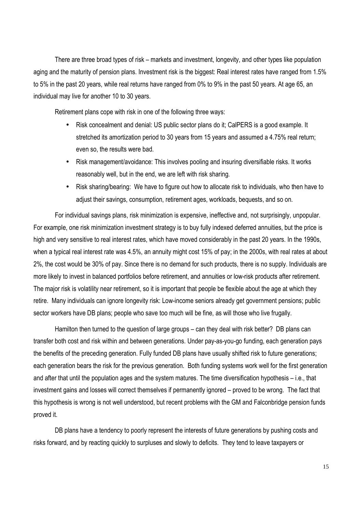There are three broad types of risk – markets and investment, longevity, and other types like population aging and the maturity of pension plans. Investment risk is the biggest: Real interest rates have ranged from 1.5% to 5% in the past 20 years, while real returns have ranged from 0% to 9% in the past 50 years. At age 65, an individual may live for another 10 to 30 years.

Retirement plans cope with risk in one of the following three ways:

- Risk concealment and denial: US public sector plans do it; CalPERS is a good example. It stretched its amortization period to 30 years from 15 years and assumed a 4.75% real return; even so, the results were bad.
- Risk management/avoidance: This involves pooling and insuring diversifiable risks. It works reasonably well, but in the end, we are left with risk sharing.
- Risk sharing/bearing: We have to figure out how to allocate risk to individuals, who then have to adjust their savings, consumption, retirement ages, workloads, bequests, and so on.

For individual savings plans, risk minimization is expensive, ineffective and, not surprisingly, unpopular. For example, one risk minimization investment strategy is to buy fully indexed deferred annuities, but the price is high and very sensitive to real interest rates, which have moved considerably in the past 20 years. In the 1990s, when a typical real interest rate was 4.5%, an annuity might cost 15% of pay; in the 2000s, with real rates at about 2%, the cost would be 30% of pay. Since there is no demand for such products, there is no supply. Individuals are more likely to invest in balanced portfolios before retirement, and annuities or low-risk products after retirement. The major risk is volatility near retirement, so it is important that people be flexible about the age at which they retire. Many individuals can ignore longevity risk: Low-income seniors already get government pensions; public sector workers have DB plans; people who save too much will be fine, as will those who live frugally.

Hamilton then turned to the question of large groups – can they deal with risk better? DB plans can transfer both cost and risk within and between generations. Under pay-as-you-go funding, each generation pays the benefits of the preceding generation. Fully funded DB plans have usually shifted risk to future generations; each generation bears the risk for the previous generation. Both funding systems work well for the first generation and after that until the population ages and the system matures. The time diversification hypothesis – i.e., that investment gains and losses will correct themselves if permanently ignored – proved to be wrong. The fact that this hypothesis is wrong is not well understood, but recent problems with the GM and Falconbridge pension funds proved it.

DB plans have a tendency to poorly represent the interests of future generations by pushing costs and risks forward, and by reacting quickly to surpluses and slowly to deficits. They tend to leave taxpayers or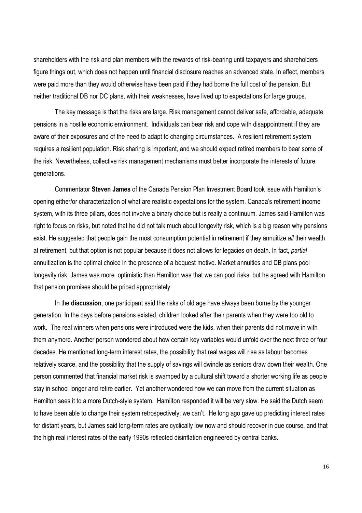shareholders with the risk and plan members with the rewards of risk-bearing until taxpayers and shareholders figure things out, which does not happen until financial disclosure reaches an advanced state. In effect, members were paid more than they would otherwise have been paid if they had borne the full cost of the pension. But neither traditional DB nor DC plans, with their weaknesses, have lived up to expectations for large groups.

The key message is that the risks are large. Risk management cannot deliver safe, affordable, adequate pensions in a hostile economic environment. Individuals can bear risk and cope with disappointment if they are aware of their exposures and of the need to adapt to changing circumstances. A resilient retirement system requires a resilient population. Risk sharing is important, and we should expect retired members to bear some of the risk. Nevertheless, collective risk management mechanisms must better incorporate the interests of future generations.

Commentator **Steven James** of the Canada Pension Plan Investment Board took issue with Hamilton's opening either/or characterization of what are realistic expectations for the system. Canada's retirement income system, with its three pillars, does not involve a binary choice but is really a continuum. James said Hamilton was right to focus on risks, but noted that he did not talk much about longevity risk, which is a big reason why pensions exist. He suggested that people gain the most consumption potential in retirement if they annuitize *all* their wealth at retirement, but that option is not popular because it does not allows for legacies on death. In fact, *partial* annuitization is the optimal choice in the presence of a bequest motive. Market annuities and DB plans pool longevity risk; James was more optimistic than Hamilton was that we can pool risks, but he agreed with Hamilton that pension promises should be priced appropriately.

In the **discussion**, one participant said the risks of old age have always been borne by the younger generation. In the days before pensions existed, children looked after their parents when they were too old to work. The real winners when pensions were introduced were the kids, when their parents did not move in with them anymore. Another person wondered about how certain key variables would unfold over the next three or four decades. He mentioned long-term interest rates, the possibility that real wages will rise as labour becomes relatively scarce, and the possibility that the supply of savings will dwindle as seniors draw down their wealth. One person commented that financial market risk is swamped by a cultural shift toward a shorter working life as people stay in school longer and retire earlier. Yet another wondered how we can move from the current situation as Hamilton sees it to a more Dutch-style system. Hamilton responded it will be very slow. He said the Dutch seem to have been able to change their system retrospectively; we can't. He long ago gave up predicting interest rates for distant years, but James said long-term rates are cyclically low now and should recover in due course, and that the high real interest rates of the early 1990s reflected disinflation engineered by central banks.

16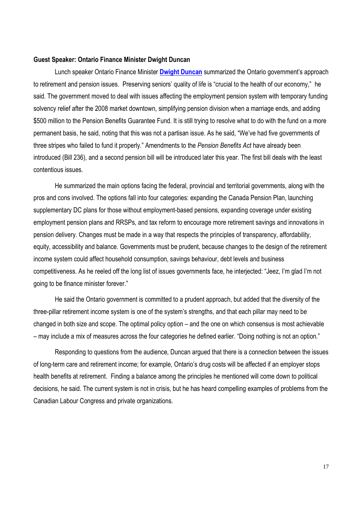### **Guest Speaker: Ontario Finance Minister Dwight Duncan**

Lunch speaker Ontario Finance Minister **Dwight Duncan** summarized the Ontario government's approach to retirement and pension issues. Preserving seniors' quality of life is "crucial to the health of our economy," he said. The government moved to deal with issues affecting the employment pension system with temporary funding solvency relief after the 2008 market downtown, simplifying pension division when a marriage ends, and adding \$500 million to the Pension Benefits Guarantee Fund. It is still trying to resolve what to do with the fund on a more permanent basis, he said, noting that this was not a partisan issue. As he said, "We've had five governments of three stripes who failed to fund it properly." Amendments to the *Pension Benefits Act* have already been introduced (Bill 236), and a second pension bill will be introduced later this year. The first bill deals with the least contentious issues.

He summarized the main options facing the federal, provincial and territorial governments, along with the pros and cons involved. The options fall into four categories: expanding the Canada Pension Plan, launching supplementary DC plans for those without employment-based pensions, expanding coverage under existing employment pension plans and RRSPs, and tax reform to encourage more retirement savings and innovations in pension delivery. Changes must be made in a way that respects the principles of transparency, affordability, equity, accessibility and balance. Governments must be prudent, because changes to the design of the retirement income system could affect household consumption, savings behaviour, debt levels and business competitiveness. As he reeled off the long list of issues governments face, he interjected: "Jeez, I'm glad I'm not going to be finance minister forever."

He said the Ontario government is committed to a prudent approach, but added that the diversity of the three-pillar retirement income system is one of the system's strengths, and that each pillar may need to be changed in both size and scope. The optimal policy option – and the one on which consensus is most achievable – may include a mix of measures across the four categories he defined earlier. "Doing nothing is not an option."

Responding to questions from the audience, Duncan argued that there is a connection between the issues of long-term care and retirement income; for example, Ontario's drug costs will be affected if an employer stops health benefits at retirement. Finding a balance among the principles he mentioned will come down to political decisions, he said. The current system is not in crisis, but he has heard compelling examples of problems from the Canadian Labour Congress and private organizations.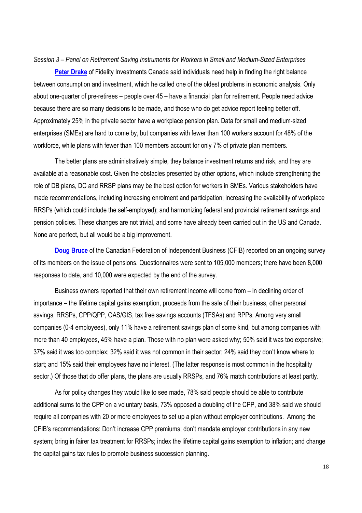#### *Session 3 – Panel on Retirement Saving Instruments for Workers in Small and Medium-Sized Enterprises*

**Peter Drake** of Fidelity Investments Canada said individuals need help in finding the right balance between consumption and investment, which he called one of the oldest problems in economic analysis. Only about one-quarter of pre-retirees – people over 45 – have a financial plan for retirement. People need advice because there are so many decisions to be made, and those who do get advice report feeling better off. Approximately 25% in the private sector have a workplace pension plan. Data for small and medium-sized enterprises (SMEs) are hard to come by, but companies with fewer than 100 workers account for 48% of the workforce, while plans with fewer than 100 members account for only 7% of private plan members.

The better plans are administratively simple, they balance investment returns and risk, and they are available at a reasonable cost. Given the obstacles presented by other options, which include strengthening the role of DB plans, DC and RRSP plans may be the best option for workers in SMEs. Various stakeholders have made recommendations, including increasing enrolment and participation; increasing the availability of workplace RRSPs (which could include the self-employed); and harmonizing federal and provincial retirement savings and pension policies. These changes are not trivial, and some have already been carried out in the US and Canada. None are perfect, but all would be a big improvement.

**Doug Bruce** of the Canadian Federation of Independent Business (CFIB) reported on an ongoing survey of its members on the issue of pensions. Questionnaires were sent to 105,000 members; there have been 8,000 responses to date, and 10,000 were expected by the end of the survey.

Business owners reported that their own retirement income will come from – in declining order of importance – the lifetime capital gains exemption, proceeds from the sale of their business, other personal savings, RRSPs, CPP/QPP, OAS/GIS, tax free savings accounts (TFSAs) and RPPs. Among very small companies (0-4 employees), only 11% have a retirement savings plan of some kind, but among companies with more than 40 employees, 45% have a plan. Those with no plan were asked why; 50% said it was too expensive; 37% said it was too complex; 32% said it was not common in their sector; 24% said they don't know where to start; and 15% said their employees have no interest. (The latter response is most common in the hospitality sector.) Of those that do offer plans, the plans are usually RRSPs, and 76% match contributions at least partly.

As for policy changes they would like to see made, 78% said people should be able to contribute additional sums to the CPP on a voluntary basis, 73% opposed a doubling of the CPP, and 38% said we should require all companies with 20 or more employees to set up a plan without employer contributions. Among the CFIB's recommendations: Don't increase CPP premiums; don't mandate employer contributions in any new system; bring in fairer tax treatment for RRSPs; index the lifetime capital gains exemption to inflation; and change the capital gains tax rules to promote business succession planning.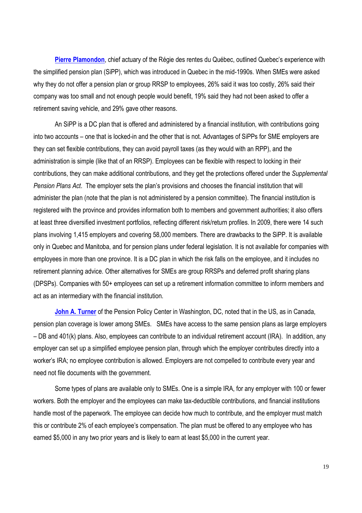**Pierre Plamondon**, chief actuary of the Régie des rentes du Québec, outlined Quebec's experience with the simplified pension plan (SiPP), which was introduced in Quebec in the mid-1990s. When SMEs were asked why they do not offer a pension plan or group RRSP to employees, 26% said it was too costly, 26% said their company was too small and not enough people would benefit, 19% said they had not been asked to offer a retirement saving vehicle, and 29% gave other reasons.

An SiPP is a DC plan that is offered and administered by a financial institution, with contributions going into two accounts – one that is locked-in and the other that is not. Advantages of SiPPs for SME employers are they can set flexible contributions, they can avoid payroll taxes (as they would with an RPP), and the administration is simple (like that of an RRSP). Employees can be flexible with respect to locking in their contributions, they can make additional contributions, and they get the protections offered under the *Supplemental Pension Plans Act*. The employer sets the plan's provisions and chooses the financial institution that will administer the plan (note that the plan is not administered by a pension committee). The financial institution is registered with the province and provides information both to members and government authorities; it also offers at least three diversified investment portfolios, reflecting different risk/return profiles. In 2009, there were 14 such plans involving 1,415 employers and covering 58,000 members. There are drawbacks to the SiPP. It is available only in Quebec and Manitoba, and for pension plans under federal legislation. It is not available for companies with employees in more than one province. It is a DC plan in which the risk falls on the employee, and it includes no retirement planning advice. Other alternatives for SMEs are group RRSPs and deferred profit sharing plans (DPSPs). Companies with 50+ employees can set up a retirement information committee to inform members and act as an intermediary with the financial institution.

**John A. Turner** of the Pension Policy Center in Washington, DC, noted that in the US, as in Canada, pension plan coverage is lower among SMEs. SMEs have access to the same pension plans as large employers – DB and 401(k) plans. Also, employees can contribute to an individual retirement account (IRA). In addition, any employer can set up a simplified employee pension plan, through which the employer contributes directly into a worker's IRA; no employee contribution is allowed. Employers are not compelled to contribute every year and need not file documents with the government.

Some types of plans are available only to SMEs. One is a simple IRA, for any employer with 100 or fewer workers. Both the employer and the employees can make tax-deductible contributions, and financial institutions handle most of the paperwork. The employee can decide how much to contribute, and the employer must match this or contribute 2% of each employee's compensation. The plan must be offered to any employee who has earned \$5,000 in any two prior years and is likely to earn at least \$5,000 in the current year.

19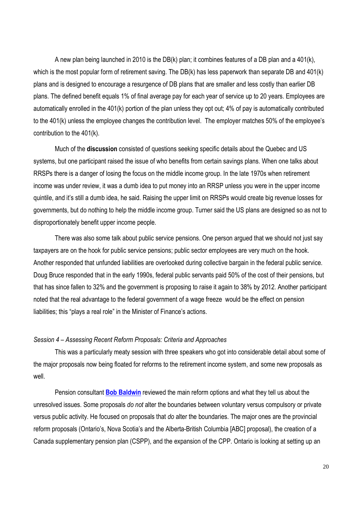A new plan being launched in 2010 is the DB(k) plan; it combines features of a DB plan and a 401(k), which is the most popular form of retirement saving. The DB(k) has less paperwork than separate DB and 401(k) plans and is designed to encourage a resurgence of DB plans that are smaller and less costly than earlier DB plans. The defined benefit equals 1% of final average pay for each year of service up to 20 years. Employees are automatically enrolled in the 401(k) portion of the plan unless they opt out; 4% of pay is automatically contributed to the 401(k) unless the employee changes the contribution level. The employer matches 50% of the employee's contribution to the 401(k).

Much of the **discussion** consisted of questions seeking specific details about the Quebec and US systems, but one participant raised the issue of who benefits from certain savings plans. When one talks about RRSPs there is a danger of losing the focus on the middle income group. In the late 1970s when retirement income was under review, it was a dumb idea to put money into an RRSP unless you were in the upper income quintile, and it's still a dumb idea, he said. Raising the upper limit on RRSPs would create big revenue losses for governments, but do nothing to help the middle income group. Turner said the US plans are designed so as not to disproportionately benefit upper income people.

There was also some talk about public service pensions. One person argued that we should not just say taxpayers are on the hook for public service pensions; public sector employees are very much on the hook. Another responded that unfunded liabilities are overlooked during collective bargain in the federal public service. Doug Bruce responded that in the early 1990s, federal public servants paid 50% of the cost of their pensions, but that has since fallen to 32% and the government is proposing to raise it again to 38% by 2012. Another participant noted that the real advantage to the federal government of a wage freeze would be the effect on pension liabilities; this "plays a real role" in the Minister of Finance's actions.

## *Session 4 – Assessing Recent Reform Proposals: Criteria and Approaches*

This was a particularly meaty session with three speakers who got into considerable detail about some of the major proposals now being floated for reforms to the retirement income system, and some new proposals as well.

Pension consultant **Bob Baldwin** reviewed the main reform options and what they tell us about the unresolved issues. Some proposals *do not* alter the boundaries between voluntary versus compulsory or private versus public activity. He focused on proposals that *do* alter the boundaries. The major ones are the provincial reform proposals (Ontario's, Nova Scotia's and the Alberta-British Columbia [ABC] proposal), the creation of a Canada supplementary pension plan (CSPP), and the expansion of the CPP. Ontario is looking at setting up an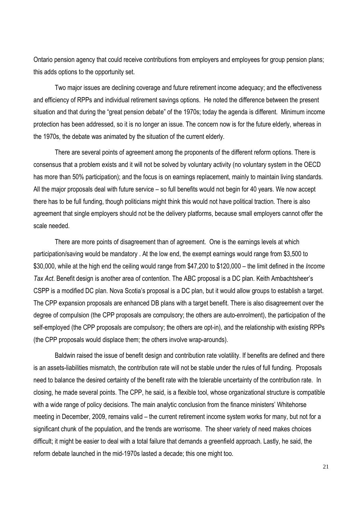Ontario pension agency that could receive contributions from employers and employees for group pension plans; this adds options to the opportunity set.

Two major issues are declining coverage and future retirement income adequacy; and the effectiveness and efficiency of RPPs and individual retirement savings options. He noted the difference between the present situation and that during the "great pension debate" of the 1970s; today the agenda is different. Minimum income protection has been addressed, so it is no longer an issue. The concern now is for the future elderly, whereas in the 1970s, the debate was animated by the situation of the current elderly.

There are several points of agreement among the proponents of the different reform options. There is consensus that a problem exists and it will not be solved by voluntary activity (no voluntary system in the OECD has more than 50% participation); and the focus is on earnings replacement, mainly to maintain living standards. All the major proposals deal with future service – so full benefits would not begin for 40 years. We now accept there has to be full funding, though politicians might think this would not have political traction. There is also agreement that single employers should not be the delivery platforms, because small employers cannot offer the scale needed.

There are more points of disagreement than of agreement. One is the earnings levels at which participation/saving would be mandatory . At the low end, the exempt earnings would range from \$3,500 to \$30,000, while at the high end the ceiling would range from \$47,200 to \$120,000 – the limit defined in the *Income Tax Act*. Benefit design is another area of contention. The ABC proposal is a DC plan. Keith Ambachtsheer's CSPP is a modified DC plan. Nova Scotia's proposal is a DC plan, but it would allow groups to establish a target. The CPP expansion proposals are enhanced DB plans with a target benefit. There is also disagreement over the degree of compulsion (the CPP proposals are compulsory; the others are auto-enrolment), the participation of the self-employed (the CPP proposals are compulsory; the others are opt-in), and the relationship with existing RPPs (the CPP proposals would displace them; the others involve wrap-arounds).

Baldwin raised the issue of benefit design and contribution rate volatility. If benefits are defined and there is an assets-liabilities mismatch, the contribution rate will not be stable under the rules of full funding. Proposals need to balance the desired certainty of the benefit rate with the tolerable uncertainty of the contribution rate. In closing, he made several points. The CPP, he said, is a flexible tool, whose organizational structure is compatible with a wide range of policy decisions. The main analytic conclusion from the finance ministers' Whitehorse meeting in December, 2009, remains valid – the current retirement income system works for many, but not for a significant chunk of the population, and the trends are worrisome. The sheer variety of need makes choices difficult; it might be easier to deal with a total failure that demands a greenfield approach. Lastly, he said, the reform debate launched in the mid-1970s lasted a decade; this one might too.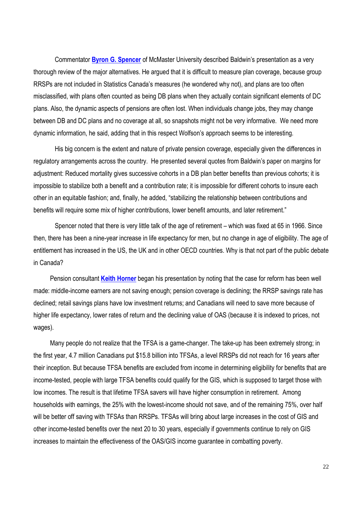Commentator **Byron G. Spencer** of McMaster University described Baldwin's presentation as a very thorough review of the major alternatives. He argued that it is difficult to measure plan coverage, because group RRSPs are not included in Statistics Canada's measures (he wondered why not), and plans are too often misclassified, with plans often counted as being DB plans when they actually contain significant elements of DC plans. Also, the dynamic aspects of pensions are often lost. When individuals change jobs, they may change between DB and DC plans and no coverage at all, so snapshots might not be very informative. We need more dynamic information, he said, adding that in this respect Wolfson's approach seems to be interesting.

His big concern is the extent and nature of private pension coverage, especially given the differences in regulatory arrangements across the country. He presented several quotes from Baldwin's paper on margins for adjustment: Reduced mortality gives successive cohorts in a DB plan better benefits than previous cohorts; it is impossible to stabilize both a benefit and a contribution rate; it is impossible for different cohorts to insure each other in an equitable fashion; and, finally, he added, "stabilizing the relationship between contributions and benefits will require some mix of higher contributions, lower benefit amounts, and later retirement."

Spencer noted that there is very little talk of the age of retirement – which was fixed at 65 in 1966. Since then, there has been a nine-year increase in life expectancy for men, but no change in age of eligibility. The age of entitlement has increased in the US, the UK and in other OECD countries. Why is that not part of the public debate in Canada?

 Pension consultant **Keith Horner** began his presentation by noting that the case for reform has been well made: middle-income earners are not saving enough; pension coverage is declining; the RRSP savings rate has declined; retail savings plans have low investment returns; and Canadians will need to save more because of higher life expectancy, lower rates of return and the declining value of OAS (because it is indexed to prices, not wages).

 Many people do not realize that the TFSA is a game-changer. The take-up has been extremely strong; in the first year, 4.7 million Canadians put \$15.8 billion into TFSAs, a level RRSPs did not reach for 16 years after their inception. But because TFSA benefits are excluded from income in determining eligibility for benefits that are income-tested, people with large TFSA benefits could qualify for the GIS, which is supposed to target those with low incomes. The result is that lifetime TFSA savers will have higher consumption in retirement. Among households with earnings, the 25% with the lowest-income should not save, and of the remaining 75%, over half will be better off saving with TFSAs than RRSPs. TFSAs will bring about large increases in the cost of GIS and other income-tested benefits over the next 20 to 30 years, especially if governments continue to rely on GIS increases to maintain the effectiveness of the OAS/GIS income guarantee in combatting poverty.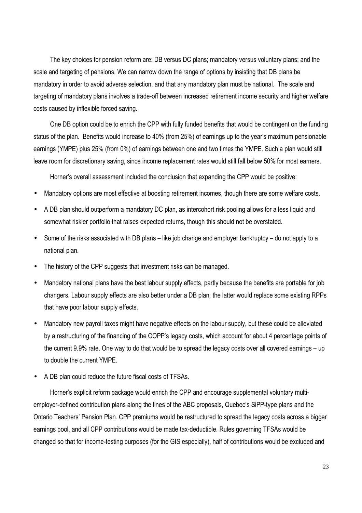The key choices for pension reform are: DB versus DC plans; mandatory versus voluntary plans; and the scale and targeting of pensions. We can narrow down the range of options by insisting that DB plans be mandatory in order to avoid adverse selection, and that any mandatory plan must be national. The scale and targeting of mandatory plans involves a trade-off between increased retirement income security and higher welfare costs caused by inflexible forced saving.

 One DB option could be to enrich the CPP with fully funded benefits that would be contingent on the funding status of the plan. Benefits would increase to 40% (from 25%) of earnings up to the year's maximum pensionable earnings (YMPE) plus 25% (from 0%) of earnings between one and two times the YMPE. Such a plan would still leave room for discretionary saving, since income replacement rates would still fall below 50% for most earners.

Horner's overall assessment included the conclusion that expanding the CPP would be positive:

- Mandatory options are most effective at boosting retirement incomes, though there are some welfare costs.
- A DB plan should outperform a mandatory DC plan, as intercohort risk pooling allows for a less liquid and somewhat riskier portfolio that raises expected returns, though this should not be overstated.
- Some of the risks associated with DB plans like job change and employer bankruptcy do not apply to a national plan.
- The history of the CPP suggests that investment risks can be managed.
- Mandatory national plans have the best labour supply effects, partly because the benefits are portable for job changers. Labour supply effects are also better under a DB plan; the latter would replace some existing RPPs that have poor labour supply effects.
- Mandatory new payroll taxes might have negative effects on the labour supply, but these could be alleviated by a restructuring of the financing of the COPP's legacy costs, which account for about 4 percentage points of the current 9.9% rate. One way to do that would be to spread the legacy costs over all covered earnings – up to double the current YMPE.
- A DB plan could reduce the future fiscal costs of TFSAs.

 Horner's explicit reform package would enrich the CPP and encourage supplemental voluntary multiemployer-defined contribution plans along the lines of the ABC proposals, Quebec's SiPP-type plans and the Ontario Teachers' Pension Plan. CPP premiums would be restructured to spread the legacy costs across a bigger earnings pool, and all CPP contributions would be made tax-deductible. Rules governing TFSAs would be changed so that for income-testing purposes (for the GIS especially), half of contributions would be excluded and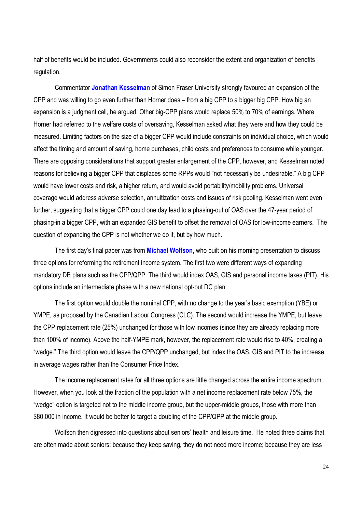half of benefits would be included. Governments could also reconsider the extent and organization of benefits regulation.

Commentator **Jonathan Kesselman** of Simon Fraser University strongly favoured an expansion of the CPP and was willing to go even further than Horner does – from a big CPP to a bigger big CPP. How big an expansion is a judgment call, he argued. Other big-CPP plans would replace 50% to 70% of earnings. Where Horner had referred to the welfare costs of oversaving, Kesselman asked what they were and how they could be measured. Limiting factors on the size of a bigger CPP would include constraints on individual choice, which would affect the timing and amount of saving, home purchases, child costs and preferences to consume while younger. There are opposing considerations that support greater enlargement of the CPP, however, and Kesselman noted reasons for believing a bigger CPP that displaces some RPPs would "not necessarily be undesirable." A big CPP would have lower costs and risk, a higher return, and would avoid portability/mobility problems. Universal coverage would address adverse selection, annuitization costs and issues of risk pooling. Kesselman went even further, suggesting that a bigger CPP could one day lead to a phasing-out of OAS over the 47-year period of phasing-in a bigger CPP, with an expanded GIS benefit to offset the removal of OAS for low-income earners. The question of expanding the CPP is not whether we do it, but by how much.

The first day's final paper was from **Michael Wolfson,** who built on his morning presentation to discuss three options for reforming the retirement income system. The first two were different ways of expanding mandatory DB plans such as the CPP/QPP. The third would index OAS, GIS and personal income taxes (PIT). His options include an intermediate phase with a new national opt-out DC plan.

The first option would double the nominal CPP, with no change to the year's basic exemption (YBE) or YMPE, as proposed by the Canadian Labour Congress (CLC). The second would increase the YMPE, but leave the CPP replacement rate (25%) unchanged for those with low incomes (since they are already replacing more than 100% of income). Above the half-YMPE mark, however, the replacement rate would rise to 40%, creating a "wedge." The third option would leave the CPP/QPP unchanged, but index the OAS, GIS and PIT to the increase in average wages rather than the Consumer Price Index.

The income replacement rates for all three options are little changed across the entire income spectrum. However, when you look at the fraction of the population with a net income replacement rate below 75%, the "wedge" option is targeted not to the middle income group, but the upper-middle groups, those with more than \$80,000 in income. It would be better to target a doubling of the CPP/QPP at the middle group.

Wolfson then digressed into questions about seniors' health and leisure time. He noted three claims that are often made about seniors: because they keep saving, they do not need more income; because they are less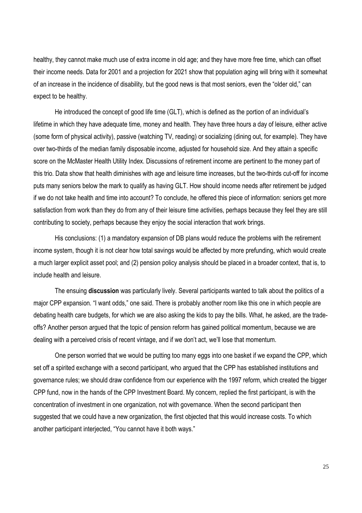healthy, they cannot make much use of extra income in old age; and they have more free time, which can offset their income needs. Data for 2001 and a projection for 2021 show that population aging will bring with it somewhat of an increase in the incidence of disability, but the good news is that most seniors, even the "older old," can expect to be healthy.

He introduced the concept of good life time (GLT), which is defined as the portion of an individual's lifetime in which they have adequate time, money and health. They have three hours a day of leisure, either active (some form of physical activity), passive (watching TV, reading) or socializing (dining out, for example). They have over two-thirds of the median family disposable income, adjusted for household size. And they attain a specific score on the McMaster Health Utility Index. Discussions of retirement income are pertinent to the money part of this trio. Data show that health diminishes with age and leisure time increases, but the two-thirds cut-off for income puts many seniors below the mark to qualify as having GLT. How should income needs after retirement be judged if we do not take health and time into account? To conclude, he offered this piece of information: seniors get more satisfaction from work than they do from any of their leisure time activities, perhaps because they feel they are still contributing to society, perhaps because they enjoy the social interaction that work brings.

His conclusions: (1) a mandatory expansion of DB plans would reduce the problems with the retirement income system, though it is not clear how total savings would be affected by more prefunding, which would create a much larger explicit asset pool; and (2) pension policy analysis should be placed in a broader context, that is, to include health and leisure.

The ensuing **discussion** was particularly lively. Several participants wanted to talk about the politics of a major CPP expansion. "I want odds," one said. There is probably another room like this one in which people are debating health care budgets, for which we are also asking the kids to pay the bills. What, he asked, are the tradeoffs? Another person argued that the topic of pension reform has gained political momentum, because we are dealing with a perceived crisis of recent vintage, and if we don't act, we'll lose that momentum.

One person worried that we would be putting too many eggs into one basket if we expand the CPP, which set off a spirited exchange with a second participant, who argued that the CPP has established institutions and governance rules; we should draw confidence from our experience with the 1997 reform, which created the bigger CPP fund, now in the hands of the CPP Investment Board. My concern, replied the first participant, is with the concentration of investment in one organization, not with governance. When the second participant then suggested that we could have a new organization, the first objected that this would increase costs. To which another participant interjected, "You cannot have it both ways."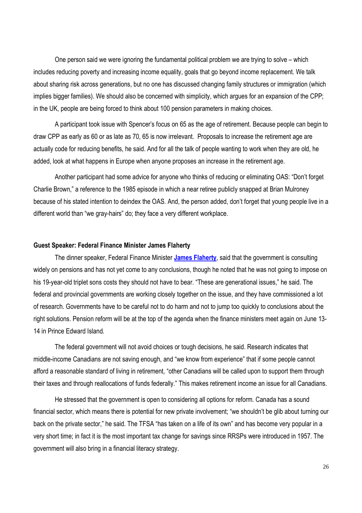One person said we were ignoring the fundamental political problem we are trying to solve – which includes reducing poverty and increasing income equality, goals that go beyond income replacement. We talk about sharing risk across generations, but no one has discussed changing family structures or immigration (which implies bigger families). We should also be concerned with simplicity, which argues for an expansion of the CPP; in the UK, people are being forced to think about 100 pension parameters in making choices.

A participant took issue with Spencer's focus on 65 as the age of retirement. Because people can begin to draw CPP as early as 60 or as late as 70, 65 is now irrelevant. Proposals to increase the retirement age are actually code for reducing benefits, he said. And for all the talk of people wanting to work when they are old, he added, look at what happens in Europe when anyone proposes an increase in the retirement age.

Another participant had some advice for anyone who thinks of reducing or eliminating OAS: "Don't forget Charlie Brown," a reference to the 1985 episode in which a near retiree publicly snapped at Brian Mulroney because of his stated intention to deindex the OAS. And, the person added, don't forget that young people live in a different world than "we gray-hairs" do; they face a very different workplace.

# **Guest Speaker: Federal Finance Minister James Flaherty**

The dinner speaker, Federal Finance Minister **James Flaherty**, said that the government is consulting widely on pensions and has not yet come to any conclusions, though he noted that he was not going to impose on his 19-year-old triplet sons costs they should not have to bear. "These are generational issues," he said. The federal and provincial governments are working closely together on the issue, and they have commissioned a lot of research. Governments have to be careful not to do harm and not to jump too quickly to conclusions about the right solutions. Pension reform will be at the top of the agenda when the finance ministers meet again on June 13- 14 in Prince Edward Island.

The federal government will not avoid choices or tough decisions, he said. Research indicates that middle-income Canadians are not saving enough, and "we know from experience" that if some people cannot afford a reasonable standard of living in retirement, "other Canadians will be called upon to support them through their taxes and through reallocations of funds federally." This makes retirement income an issue for all Canadians.

He stressed that the government is open to considering all options for reform. Canada has a sound financial sector, which means there is potential for new private involvement; "we shouldn't be glib about turning our back on the private sector," he said. The TFSA "has taken on a life of its own" and has become very popular in a very short time; in fact it is the most important tax change for savings since RRSPs were introduced in 1957. The government will also bring in a financial literacy strategy.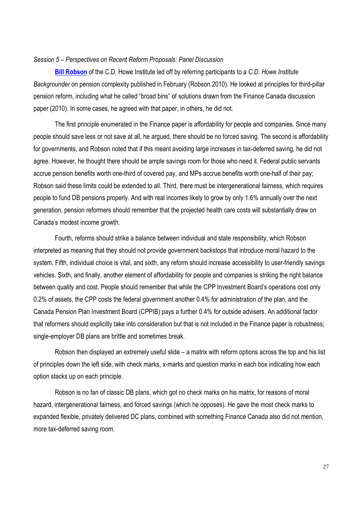# *Session 5 – Perspectives on Recent Reform Proposals: Panel Discussion*

**Bill Robson** of the C.D. Howe Institute led off by referring participants to a *C.D. Howe Institute Backgrounder* on pension complexity published in February (Robson 2010). He looked at principles for third-pillar pension reform, including what he called "broad bins" of solutions drawn from the Finance Canada discussion paper (2010). In some cases, he agreed with that paper, in others, he did not.

The first principle enumerated in the Finance paper is affordability for people and companies. Since many people should save less or not save at all, he argued, there should be no forced saving. The second is affordability for governments, and Robson noted that if this meant avoiding large increases in tax-deferred saving, he did not agree. However, he thought there should be ample savings room for those who need it. Federal public servants accrue pension benefits worth one-third of covered pay, and MPs accrue benefits worth one-half of their pay; Robson said these limits could be extended to all. Third, there must be intergenerational fairness, which requires people to fund DB pensions properly. And with real incomes likely to grow by only 1.6% annually over the next generation, pension reformers should remember that the projected health care costs will substantially draw on Canada's modest income growth.

Fourth, reforms should strike a balance between individual and state responsibility, which Robson interpreted as meaning that they should not provide government backstops that introduce moral hazard to the system. Fifth, individual choice is vital, and sixth, any reform should increase accessibility to user-friendly savings vehicles. Sixth, and finally, another element of affordability for people and companies is striking the right balance between quality and cost. People should remember that while the CPP Investment Board's operations cost only 0.2% of assets, the CPP costs the federal government another 0.4% for administration of the plan, and the Canada Pension Plan Investment Board (CPPIB) pays a further 0.4% for outside advisers. An additional factor that reformers should explicitly take into consideration but that is not included in the Finance paper is robustness; single-employer DB plans are brittle and sometimes break.

Robson then displayed an extremely useful slide – a matrix with reform options across the top and his list of principles down the left side, with check marks, x-marks and question marks in each box indicating how each option stacks up on each principle.

Robson is no fan of classic DB plans, which got no check marks on his matrix, for reasons of moral hazard, intergenerational fairness, and forced savings (which he opposes). He gave the most check marks to expanded flexible, privately delivered DC plans, combined with something Finance Canada also did not mention, more tax-deferred saving room.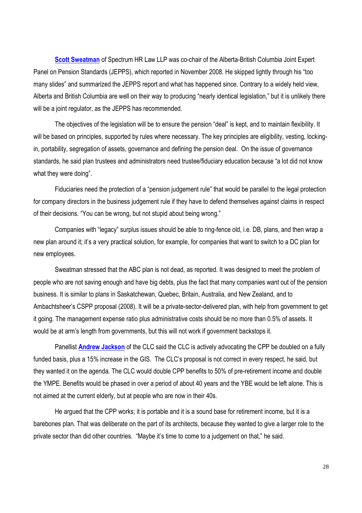**Scott Sweatman** of Spectrum HR Law LLP was co-chair of the Alberta-British Columbia Joint Expert Panel on Pension Standards (JEPPS), which reported in November 2008. He skipped lightly through his "too many slides" and summarized the JEPPS report and what has happened since. Contrary to a widely held view, Alberta and British Columbia are well on their way to producing "nearly identical legislation," but it is unlikely there will be a joint regulator, as the JEPPS has recommended.

The objectives of the legislation will be to ensure the pension "deal" is kept, and to maintain flexibility. It will be based on principles, supported by rules where necessary. The key principles are eligibility, vesting, lockingin, portability, segregation of assets, governance and defining the pension deal. On the issue of governance standards, he said plan trustees and administrators need trustee/fiduciary education because "a lot did not know what they were doing".

Fiduciaries need the protection of a "pension judgement rule" that would be parallel to the legal protection for company directors in the business judgement rule if they have to defend themselves against claims in respect of their decisions. "You can be wrong, but not stupid about being wrong."

Companies with "legacy" surplus issues should be able to ring-fence old, i.e. DB, plans, and then wrap a new plan around it; it's a very practical solution, for example, for companies that want to switch to a DC plan for new employees.

Sweatman stressed that the ABC plan is not dead, as reported. It was designed to meet the problem of people who are not saving enough and have big debts, plus the fact that many companies want out of the pension business. It is similar to plans in Saskatchewan, Quebec, Britain, Australia, and New Zealand, and to Ambachtsheer's CSPP proposal (2008). It will be a private-sector-delivered plan, with help from government to get it going. The management expense ratio plus administrative costs should be no more than 0.5% of assets. It would be at arm's length from governments, but this will not work if government backstops it.

Panellist **Andrew Jackson** of the CLC said the CLC is actively advocating the CPP be doubled on a fully funded basis, plus a 15% increase in the GIS. The CLC's proposal is not correct in every respect, he said, but they wanted it on the agenda. The CLC would double CPP benefits to 50% of pre-retirement income and double the YMPE. Benefits would be phased in over a period of about 40 years and the YBE would be left alone. This is not aimed at the current elderly, but at people who are now in their 40s.

He argued that the CPP works; it is portable and it is a sound base for retirement income, but it is a barebones plan. That was deliberate on the part of its architects, because they wanted to give a larger role to the private sector than did other countries. "Maybe it's time to come to a judgement on that," he said.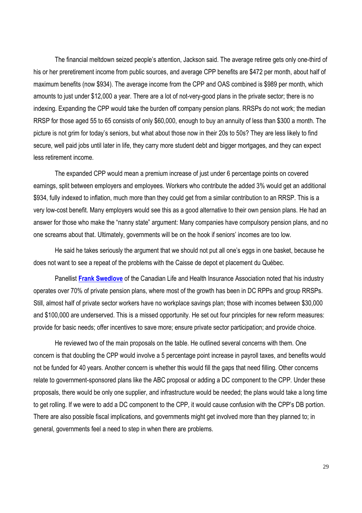The financial meltdown seized people's attention, Jackson said. The average retiree gets only one-third of his or her preretirement income from public sources, and average CPP benefits are \$472 per month, about half of maximum benefits (now \$934). The average income from the CPP and OAS combined is \$989 per month, which amounts to just under \$12,000 a year. There are a lot of not-very-good plans in the private sector; there is no indexing. Expanding the CPP would take the burden off company pension plans. RRSPs do not work; the median RRSP for those aged 55 to 65 consists of only \$60,000, enough to buy an annuity of less than \$300 a month. The picture is not grim for today's seniors, but what about those now in their 20s to 50s? They are less likely to find secure, well paid jobs until later in life, they carry more student debt and bigger mortgages, and they can expect less retirement income.

The expanded CPP would mean a premium increase of just under 6 percentage points on covered earnings, split between employers and employees. Workers who contribute the added 3% would get an additional \$934, fully indexed to inflation, much more than they could get from a similar contribution to an RRSP. This is a very low-cost benefit. Many employers would see this as a good alternative to their own pension plans. He had an answer for those who make the "nanny state" argument: Many companies have compulsory pension plans, and no one screams about that. Ultimately, governments will be on the hook if seniors' incomes are too low.

He said he takes seriously the argument that we should not put all one's eggs in one basket, because he does not want to see a repeat of the problems with the Caisse de depot et placement du Québec.

Panellist **Frank Swedlove** of the Canadian Life and Health Insurance Association noted that his industry operates over 70% of private pension plans, where most of the growth has been in DC RPPs and group RRSPs. Still, almost half of private sector workers have no workplace savings plan; those with incomes between \$30,000 and \$100,000 are underserved. This is a missed opportunity. He set out four principles for new reform measures: provide for basic needs; offer incentives to save more; ensure private sector participation; and provide choice.

He reviewed two of the main proposals on the table. He outlined several concerns with them. One concern is that doubling the CPP would involve a 5 percentage point increase in payroll taxes, and benefits would not be funded for 40 years. Another concern is whether this would fill the gaps that need filling. Other concerns relate to government-sponsored plans like the ABC proposal or adding a DC component to the CPP. Under these proposals, there would be only one supplier, and infrastructure would be needed; the plans would take a long time to get rolling. If we were to add a DC component to the CPP, it would cause confusion with the CPP's DB portion. There are also possible fiscal implications, and governments might get involved more than they planned to; in general, governments feel a need to step in when there are problems.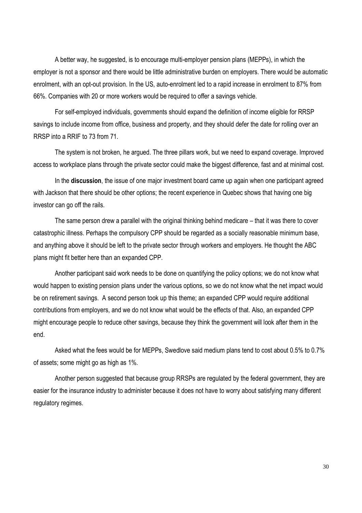A better way, he suggested, is to encourage multi-employer pension plans (MEPPs), in which the employer is not a sponsor and there would be little administrative burden on employers. There would be automatic enrolment, with an opt-out provision. In the US, auto-enrolment led to a rapid increase in enrolment to 87% from 66%. Companies with 20 or more workers would be required to offer a savings vehicle.

For self-employed individuals, governments should expand the definition of income eligible for RRSP savings to include income from office, business and property, and they should defer the date for rolling over an RRSP into a RRIF to 73 from 71.

The system is not broken, he argued. The three pillars work, but we need to expand coverage. Improved access to workplace plans through the private sector could make the biggest difference, fast and at minimal cost.

In the **discussion**, the issue of one major investment board came up again when one participant agreed with Jackson that there should be other options; the recent experience in Quebec shows that having one big investor can go off the rails.

The same person drew a parallel with the original thinking behind medicare – that it was there to cover catastrophic illness. Perhaps the compulsory CPP should be regarded as a socially reasonable minimum base, and anything above it should be left to the private sector through workers and employers. He thought the ABC plans might fit better here than an expanded CPP.

Another participant said work needs to be done on quantifying the policy options; we do not know what would happen to existing pension plans under the various options, so we do not know what the net impact would be on retirement savings. A second person took up this theme; an expanded CPP would require additional contributions from employers, and we do not know what would be the effects of that. Also, an expanded CPP might encourage people to reduce other savings, because they think the government will look after them in the end.

Asked what the fees would be for MEPPs, Swedlove said medium plans tend to cost about 0.5% to 0.7% of assets; some might go as high as 1%.

Another person suggested that because group RRSPs are regulated by the federal government, they are easier for the insurance industry to administer because it does not have to worry about satisfying many different regulatory regimes.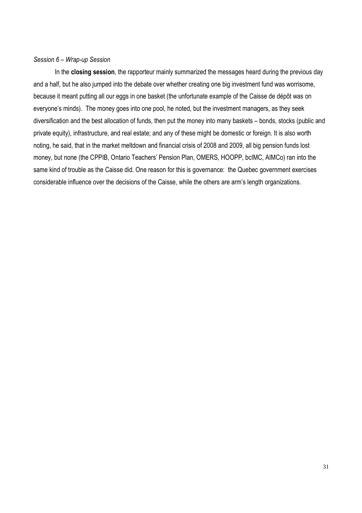# *Session 6 – Wrap-up Session*

In the **closing session**, the rapporteur mainly summarized the messages heard during the previous day and a half, but he also jumped into the debate over whether creating one big investment fund was worrisome, because it meant putting all our eggs in one basket (the unfortunate example of the Caisse de dépôt was on everyone's minds). The money goes into one pool, he noted, but the investment managers, as they seek diversification and the best allocation of funds, then put the money into many baskets – bonds, stocks (public and private equity), infrastructure, and real estate; and any of these might be domestic or foreign. It is also worth noting, he said, that in the market meltdown and financial crisis of 2008 and 2009, all big pension funds lost money, but none (the CPPIB, Ontario Teachers' Pension Plan, OMERS, HOOPP, bcIMC, AIMCo) ran into the same kind of trouble as the Caisse did. One reason for this is governance: the Quebec government exercises considerable influence over the decisions of the Caisse, while the others are arm's length organizations.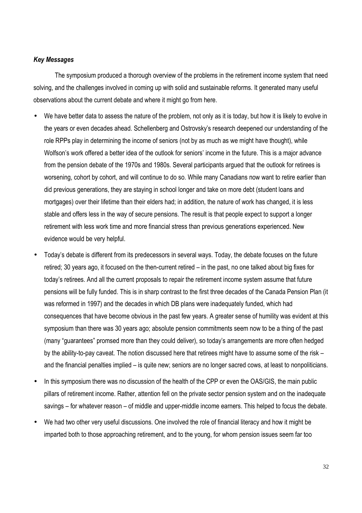# *Key Messages*

The symposium produced a thorough overview of the problems in the retirement income system that need solving, and the challenges involved in coming up with solid and sustainable reforms. It generated many useful observations about the current debate and where it might go from here.

- We have better data to assess the nature of the problem, not only as it is today, but how it is likely to evolve in the years or even decades ahead. Schellenberg and Ostrovsky's research deepened our understanding of the role RPPs play in determining the income of seniors (not by as much as we might have thought), while Wolfson's work offered a better idea of the outlook for seniors' income in the future. This is a major advance from the pension debate of the 1970s and 1980s. Several participants argued that the outlook for retirees is worsening, cohort by cohort, and will continue to do so. While many Canadians now want to retire earlier than did previous generations, they are staying in school longer and take on more debt (student loans and mortgages) over their lifetime than their elders had; in addition, the nature of work has changed, it is less stable and offers less in the way of secure pensions. The result is that people expect to support a longer retirement with less work time and more financial stress than previous generations experienced. New evidence would be very helpful.
- Today's debate is different from its predecessors in several ways. Today, the debate focuses on the future retired; 30 years ago, it focused on the then-current retired – in the past, no one talked about big fixes for today's retirees. And all the current proposals to repair the retirement income system assume that future pensions will be fully funded. This is in sharp contrast to the first three decades of the Canada Pension Plan (it was reformed in 1997) and the decades in which DB plans were inadequately funded, which had consequences that have become obvious in the past few years. A greater sense of humility was evident at this symposium than there was 30 years ago; absolute pension commitments seem now to be a thing of the past (many "guarantees" promsed more than they could deliver), so today's arrangements are more often hedged by the ability-to-pay caveat. The notion discussed here that retirees might have to assume some of the risk – and the financial penalties implied – is quite new; seniors are no longer sacred cows, at least to nonpoliticians.
- In this symposium there was no discussion of the health of the CPP or even the OAS/GIS, the main public pillars of retirement income. Rather, attention fell on the private sector pension system and on the inadequate savings – for whatever reason – of middle and upper-middle income earners. This helped to focus the debate.
- We had two other very useful discussions. One involved the role of financial literacy and how it might be imparted both to those approaching retirement, and to the young, for whom pension issues seem far too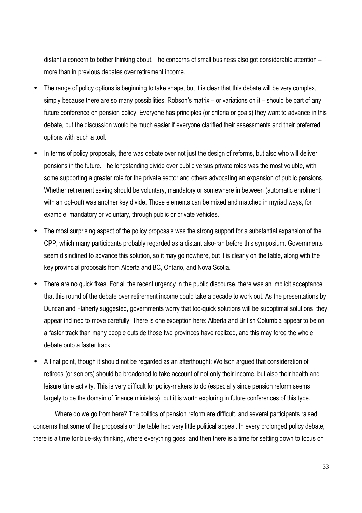distant a concern to bother thinking about. The concerns of small business also got considerable attention – more than in previous debates over retirement income.

- The range of policy options is beginning to take shape, but it is clear that this debate will be very complex, simply because there are so many possibilities. Robson's matrix – or variations on it – should be part of any future conference on pension policy. Everyone has principles (or criteria or goals) they want to advance in this debate, but the discussion would be much easier if everyone clarified their assessments and their preferred options with such a tool.
- In terms of policy proposals, there was debate over not just the design of reforms, but also who will deliver pensions in the future. The longstanding divide over public versus private roles was the most voluble, with some supporting a greater role for the private sector and others advocating an expansion of public pensions. Whether retirement saving should be voluntary, mandatory or somewhere in between (automatic enrolment with an opt-out) was another key divide. Those elements can be mixed and matched in myriad ways, for example, mandatory or voluntary, through public or private vehicles.
- The most surprising aspect of the policy proposals was the strong support for a substantial expansion of the CPP, which many participants probably regarded as a distant also-ran before this symposium. Governments seem disinclined to advance this solution, so it may go nowhere, but it is clearly on the table, along with the key provincial proposals from Alberta and BC, Ontario, and Nova Scotia.
- There are no quick fixes. For all the recent urgency in the public discourse, there was an implicit acceptance that this round of the debate over retirement income could take a decade to work out. As the presentations by Duncan and Flaherty suggested, governments worry that too-quick solutions will be suboptimal solutions; they appear inclined to move carefully. There is one exception here: Alberta and British Columbia appear to be on a faster track than many people outside those two provinces have realized, and this may force the whole debate onto a faster track.
- A final point, though it should not be regarded as an afterthought: Wolfson argued that consideration of retirees (or seniors) should be broadened to take account of not only their income, but also their health and leisure time activity. This is very difficult for policy-makers to do (especially since pension reform seems largely to be the domain of finance ministers), but it is worth exploring in future conferences of this type.

Where do we go from here? The politics of pension reform are difficult, and several participants raised concerns that some of the proposals on the table had very little political appeal. In every prolonged policy debate, there is a time for blue-sky thinking, where everything goes, and then there is a time for settling down to focus on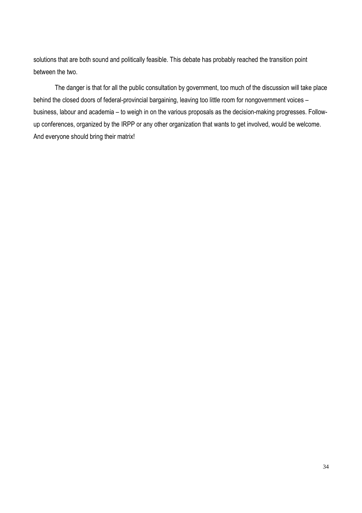solutions that are both sound and politically feasible. This debate has probably reached the transition point between the two.

The danger is that for all the public consultation by government, too much of the discussion will take place behind the closed doors of federal-provincial bargaining, leaving too little room for nongovernment voices – business, labour and academia – to weigh in on the various proposals as the decision-making progresses. Followup conferences, organized by the IRPP or any other organization that wants to get involved, would be welcome. And everyone should bring their matrix!